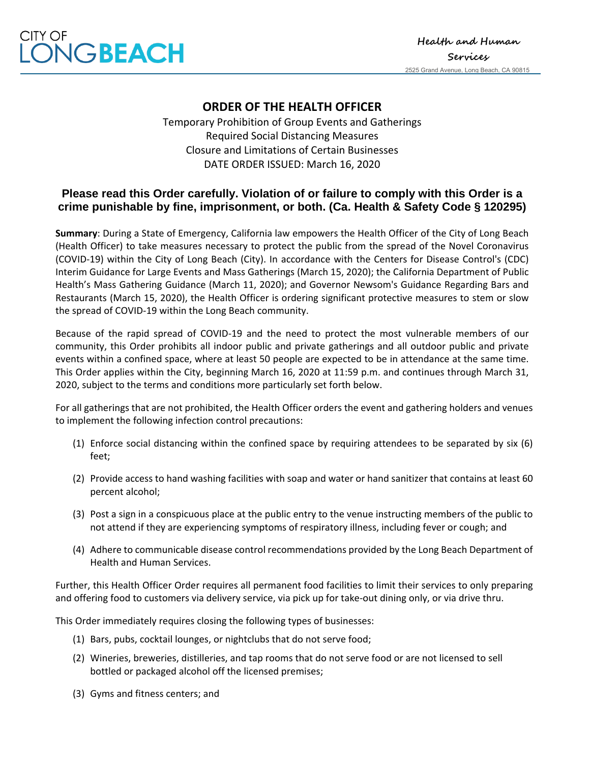

## **ORDER OF THE HEALTH OFFICER**

Temporary Prohibition of Group Events and Gatherings Required Social Distancing Measures Closure and Limitations of Certain Businesses DATE ORDER ISSUED: March 16, 2020

## **Please read this Order carefully. Violation of or failure to comply with this Order is a crime punishable by fine, imprisonment, or both. (Ca. Health & Safety Code § 120295)**

**Summary**: During a State of Emergency, California law empowers the Health Officer of the City of Long Beach (Health Officer) to take measures necessary to protect the public from the spread of the Novel Coronavirus (COVID-19) within the City of Long Beach (City). In accordance with the Centers for Disease Control's (CDC) Interim Guidance for Large Events and Mass Gatherings (March 15, 2020); the California Department of Public Health's Mass Gathering Guidance (March 11, 2020); and Governor Newsom's Guidance Regarding Bars and Restaurants (March 15, 2020), the Health Officer is ordering significant protective measures to stem or slow the spread of COVID-19 within the Long Beach community.

Because of the rapid spread of COVID-19 and the need to protect the most vulnerable members of our community, this Order prohibits all indoor public and private gatherings and all outdoor public and private events within a confined space, where at least 50 people are expected to be in attendance at the same time. This Order applies within the City, beginning March 16, 2020 at 11:59 p.m. and continues through March 31, 2020, subject to the terms and conditions more particularly set forth below.

For all gatherings that are not prohibited, the Health Officer orders the event and gathering holders and venues to implement the following infection control precautions:

- (1) Enforce social distancing within the confined space by requiring attendees to be separated by six (6) feet;
- (2) Provide access to hand washing facilities with soap and water or hand sanitizer that contains at least 60 percent alcohol;
- (3) Post a sign in a conspicuous place at the public entry to the venue instructing members of the public to not attend if they are experiencing symptoms of respiratory illness, including fever or cough; and
- (4) Adhere to communicable disease control recommendations provided by the Long Beach Department of Health and Human Services.

Further, this Health Officer Order requires all permanent food facilities to limit their services to only preparing and offering food to customers via delivery service, via pick up for take-out dining only, or via drive thru.

This Order immediately requires closing the following types of businesses:

- (1) Bars, pubs, cocktail lounges, or nightclubs that do not serve food;
- (2) Wineries, breweries, distilleries, and tap rooms that do not serve food or are not licensed to sell bottled or packaged alcohol off the licensed premises;
- (3) Gyms and fitness centers; and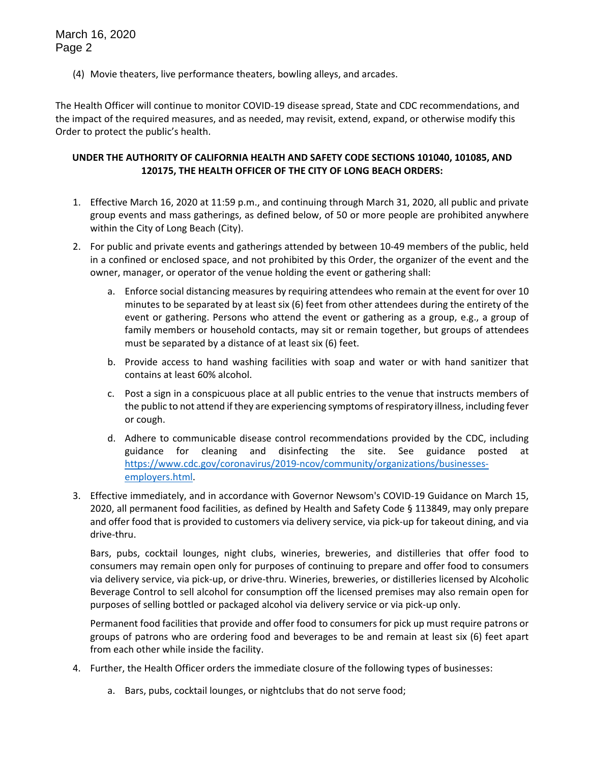March 16, 2020 Page 2

(4) Movie theaters, live performance theaters, bowling alleys, and arcades.

The Health Officer will continue to monitor COVID-19 disease spread, State and CDC recommendations, and the impact of the required measures, and as needed, may revisit, extend, expand, or otherwise modify this Order to protect the public's health.

## **UNDER THE AUTHORITY OF CALIFORNIA HEALTH AND SAFETY CODE SECTIONS 101040, 101085, AND 120175, THE HEALTH OFFICER OF THE CITY OF LONG BEACH ORDERS:**

- 1. Effective March 16, 2020 at 11:59 p.m., and continuing through March 31, 2020, all public and private group events and mass gatherings, as defined below, of 50 or more people are prohibited anywhere within the City of Long Beach (City).
- 2. For public and private events and gatherings attended by between 10-49 members of the public, held in a confined or enclosed space, and not prohibited by this Order, the organizer of the event and the owner, manager, or operator of the venue holding the event or gathering shall:
	- a. Enforce social distancing measures by requiring attendees who remain at the event for over 10 minutes to be separated by at least six (6) feet from other attendees during the entirety of the event or gathering. Persons who attend the event or gathering as a group, e.g., a group of family members or household contacts, may sit or remain together, but groups of attendees must be separated by a distance of at least six (6) feet.
	- b. Provide access to hand washing facilities with soap and water or with hand sanitizer that contains at least 60% alcohol.
	- c. Post a sign in a conspicuous place at all public entries to the venue that instructs members of the public to not attend if they are experiencing symptoms of respiratory illness, including fever or cough.
	- d. Adhere to communicable disease control recommendations provided by the CDC, including guidance for cleaning and disinfecting the site. See guidance posted at [https://www.cdc.gov/coronavirus/2019-ncov/community/organizations/businesses](https://www.cdc.gov/coronavirus/2019-ncov/community/organizations/businesses-employers.html)[employers.html.](https://www.cdc.gov/coronavirus/2019-ncov/community/organizations/businesses-employers.html)
- 3. Effective immediately, and in accordance with Governor Newsom's COVID-19 Guidance on March 15, 2020, all permanent food facilities, as defined by Health and Safety Code § 113849, may only prepare and offer food that is provided to customers via delivery service, via pick-up for takeout dining, and via drive-thru.

Bars, pubs, cocktail lounges, night clubs, wineries, breweries, and distilleries that offer food to consumers may remain open only for purposes of continuing to prepare and offer food to consumers via delivery service, via pick-up, or drive-thru. Wineries, breweries, or distilleries licensed by Alcoholic Beverage Control to sell alcohol for consumption off the licensed premises may also remain open for purposes of selling bottled or packaged alcohol via delivery service or via pick-up only.

Permanent food facilities that provide and offer food to consumers for pick up must require patrons or groups of patrons who are ordering food and beverages to be and remain at least six (6) feet apart from each other while inside the facility.

- 4. Further, the Health Officer orders the immediate closure of the following types of businesses:
	- a. Bars, pubs, cocktail lounges, or nightclubs that do not serve food;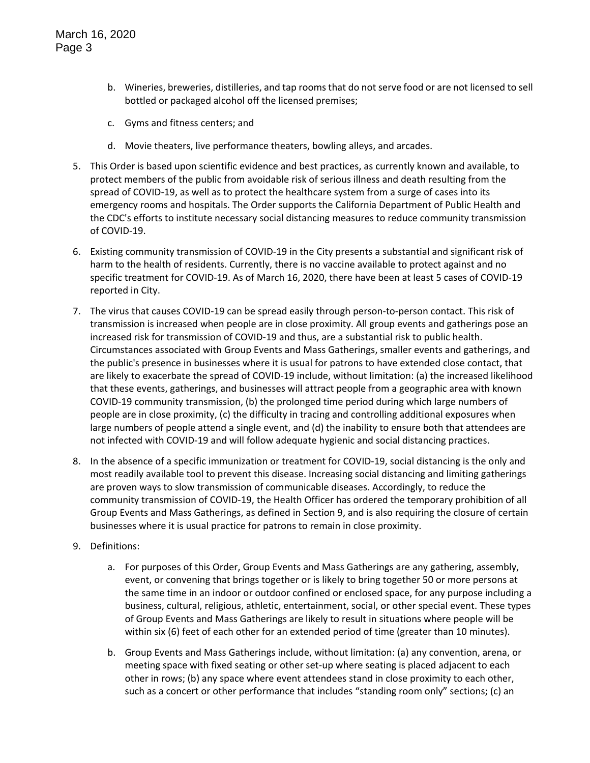- b. Wineries, breweries, distilleries, and tap rooms that do not serve food or are not licensed to sell bottled or packaged alcohol off the licensed premises;
- c. Gyms and fitness centers; and
- d. Movie theaters, live performance theaters, bowling alleys, and arcades.
- 5. This Order is based upon scientific evidence and best practices, as currently known and available, to protect members of the public from avoidable risk of serious illness and death resulting from the spread of COVID-19, as well as to protect the healthcare system from a surge of cases into its emergency rooms and hospitals. The Order supports the California Department of Public Health and the CDC's efforts to institute necessary social distancing measures to reduce community transmission of COVID-19.
- 6. Existing community transmission of COVID-19 in the City presents a substantial and significant risk of harm to the health of residents. Currently, there is no vaccine available to protect against and no specific treatment for COVID-19. As of March 16, 2020, there have been at least 5 cases of COVID-19 reported in City.
- 7. The virus that causes COVID-19 can be spread easily through person-to-person contact. This risk of transmission is increased when people are in close proximity. All group events and gatherings pose an increased risk for transmission of COVID-19 and thus, are a substantial risk to public health. Circumstances associated with Group Events and Mass Gatherings, smaller events and gatherings, and the public's presence in businesses where it is usual for patrons to have extended close contact, that are likely to exacerbate the spread of COVID-19 include, without limitation: (a) the increased likelihood that these events, gatherings, and businesses will attract people from a geographic area with known COVID-19 community transmission, (b) the prolonged time period during which large numbers of people are in close proximity, (c) the difficulty in tracing and controlling additional exposures when large numbers of people attend a single event, and (d) the inability to ensure both that attendees are not infected with COVID-19 and will follow adequate hygienic and social distancing practices.
- 8. In the absence of a specific immunization or treatment for COVID-19, social distancing is the only and most readily available tool to prevent this disease. Increasing social distancing and limiting gatherings are proven ways to slow transmission of communicable diseases. Accordingly, to reduce the community transmission of COVID-19, the Health Officer has ordered the temporary prohibition of all Group Events and Mass Gatherings, as defined in Section 9, and is also requiring the closure of certain businesses where it is usual practice for patrons to remain in close proximity.
- 9. Definitions:
	- a. For purposes of this Order, Group Events and Mass Gatherings are any gathering, assembly, event, or convening that brings together or is likely to bring together 50 or more persons at the same time in an indoor or outdoor confined or enclosed space, for any purpose including a business, cultural, religious, athletic, entertainment, social, or other special event. These types of Group Events and Mass Gatherings are likely to result in situations where people will be within six (6) feet of each other for an extended period of time (greater than 10 minutes).
	- b. Group Events and Mass Gatherings include, without limitation: (a) any convention, arena, or meeting space with fixed seating or other set-up where seating is placed adjacent to each other in rows; (b) any space where event attendees stand in close proximity to each other, such as a concert or other performance that includes "standing room only" sections; (c) an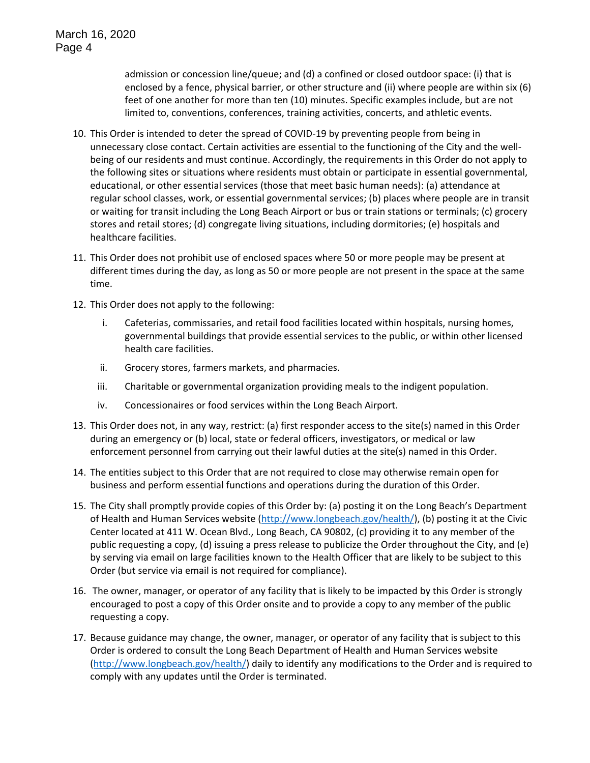admission or concession line/queue; and (d) a confined or closed outdoor space: (i) that is enclosed by a fence, physical barrier, or other structure and (ii) where people are within six (6) feet of one another for more than ten (10) minutes. Specific examples include, but are not limited to, conventions, conferences, training activities, concerts, and athletic events.

- 10. This Order is intended to deter the spread of COVID-19 by preventing people from being in unnecessary close contact. Certain activities are essential to the functioning of the City and the wellbeing of our residents and must continue. Accordingly, the requirements in this Order do not apply to the following sites or situations where residents must obtain or participate in essential governmental, educational, or other essential services (those that meet basic human needs): (a) attendance at regular school classes, work, or essential governmental services; (b) places where people are in transit or waiting for transit including the Long Beach Airport or bus or train stations or terminals; (c) grocery stores and retail stores; (d) congregate living situations, including dormitories; (e) hospitals and healthcare facilities.
- 11. This Order does not prohibit use of enclosed spaces where 50 or more people may be present at different times during the day, as long as 50 or more people are not present in the space at the same time.
- 12. This Order does not apply to the following:
	- i. Cafeterias, commissaries, and retail food facilities located within hospitals, nursing homes, governmental buildings that provide essential services to the public, or within other licensed health care facilities.
	- ii. Grocery stores, farmers markets, and pharmacies.
	- iii. Charitable or governmental organization providing meals to the indigent population.
	- iv. Concessionaires or food services within the Long Beach Airport.
- 13. This Order does not, in any way, restrict: (a) first responder access to the site(s) named in this Order during an emergency or (b) local, state or federal officers, investigators, or medical or law enforcement personnel from carrying out their lawful duties at the site(s) named in this Order.
- 14. The entities subject to this Order that are not required to close may otherwise remain open for business and perform essential functions and operations during the duration of this Order.
- 15. The City shall promptly provide copies of this Order by: (a) posting it on the Long Beach's Department of Health and Human Services website [\(http://www.longbeach.gov/health/\)](http://www.longbeach.gov/health/), (b) posting it at the Civic Center located at 411 W. Ocean Blvd., Long Beach, CA 90802, (c) providing it to any member of the public requesting a copy, (d) issuing a press release to publicize the Order throughout the City, and (e) by serving via email on large facilities known to the Health Officer that are likely to be subject to this Order (but service via email is not required for compliance).
- 16. The owner, manager, or operator of any facility that is likely to be impacted by this Order is strongly encouraged to post a copy of this Order onsite and to provide a copy to any member of the public requesting a copy.
- 17. Because guidance may change, the owner, manager, or operator of any facility that is subject to this Order is ordered to consult the Long Beach Department of Health and Human Services website [\(http://www.longbeach.gov/health/\)](http://www.longbeach.gov/health/) daily to identify any modifications to the Order and is required to comply with any updates until the Order is terminated.